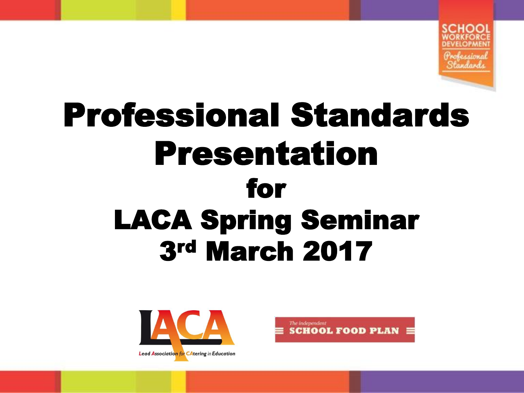

### Professional Standards Presentation for LACA Spring Seminar 3rd March 2017



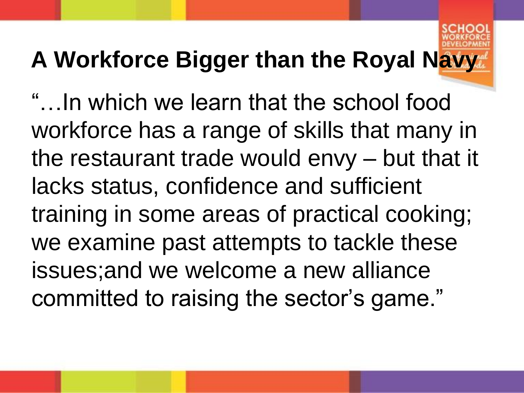#### **A Workforce Bigger than the Royal Navy**

"…In which we learn that the school food workforce has a range of skills that many in the restaurant trade would envy – but that it lacks status, confidence and sufficient training in some areas of practical cooking; we examine past attempts to tackle these issues;and we welcome a new alliance committed to raising the sector's game."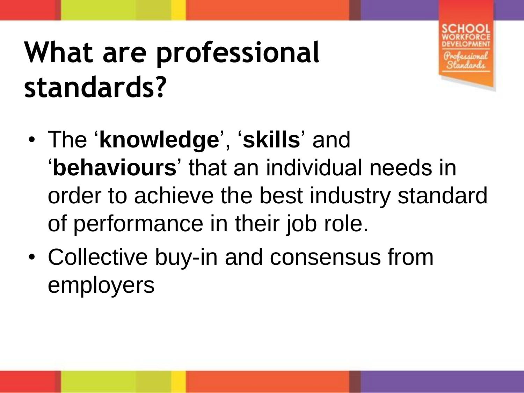### **What are professional standards?**



- The '**knowledge**', '**skills**' and '**behaviours**' that an individual needs in order to achieve the best industry standard of performance in their job role.
- Collective buy-in and consensus from employers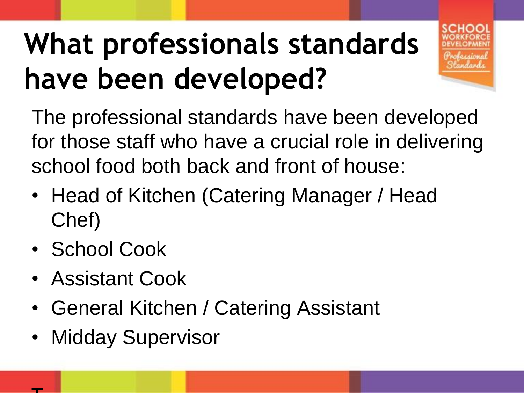## **What professionals standards have been developed?**



The professional standards have been developed for those staff who have a crucial role in delivering school food both back and front of house:

- Head of Kitchen (Catering Manager / Head Chef)
- School Cook

 $\mathbf{\tau}$ 

- Assistant Cook
- General Kitchen / Catering Assistant
- Midday Supervisor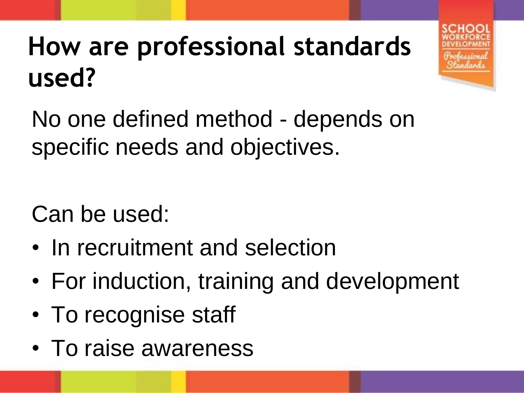### **How are professional standards used?**

No one defined method - depends on specific needs and objectives.

Can be used:

- In recruitment and selection
- For induction, training and development
- To recognise staff
- To raise awareness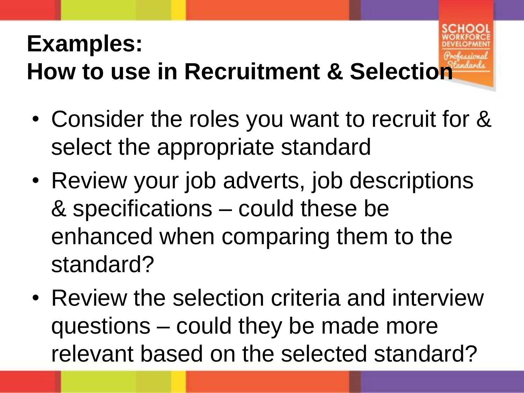#### **Examples: How to use in Recruitment & Selection**

- Consider the roles you want to recruit for & select the appropriate standard
- Review your job adverts, job descriptions & specifications – could these be enhanced when comparing them to the standard?
- Review the selection criteria and interview questions – could they be made more relevant based on the selected standard?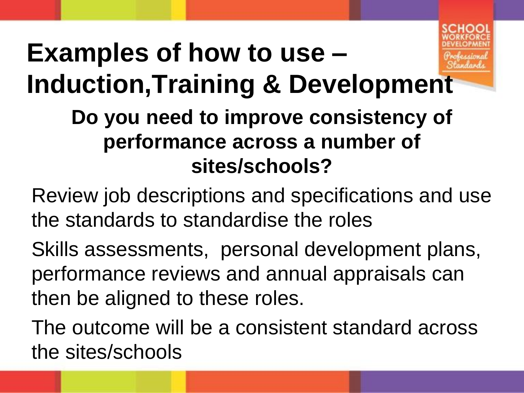

### **Examples of how to use – Induction,Training & Development**

#### **Do you need to improve consistency of performance across a number of sites/schools?**

- Review job descriptions and specifications and use the standards to standardise the roles
- Skills assessments, personal development plans, performance reviews and annual appraisals can then be aligned to these roles.
- The outcome will be a consistent standard across the sites/schools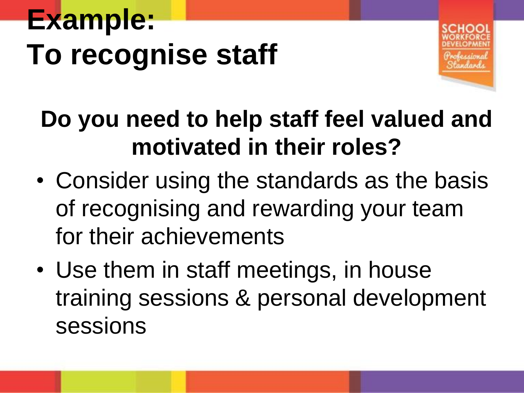# **Example: To recognise staff**



### **Do you need to help staff feel valued and motivated in their roles?**

- Consider using the standards as the basis of recognising and rewarding your team for their achievements
- Use them in staff meetings, in house training sessions & personal development sessions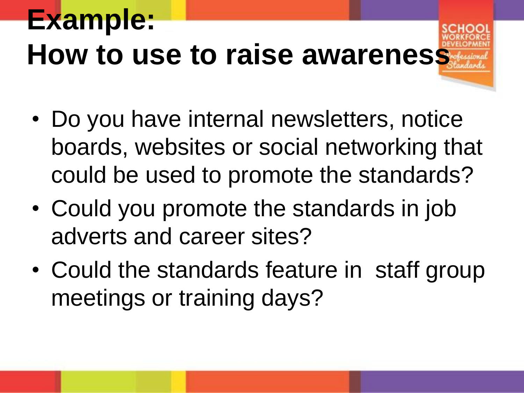### **Example: How to use to raise awareness**

- Do you have internal newsletters, notice boards, websites or social networking that could be used to promote the standards?
- Could you promote the standards in job adverts and career sites?
- Could the standards feature in staff group meetings or training days?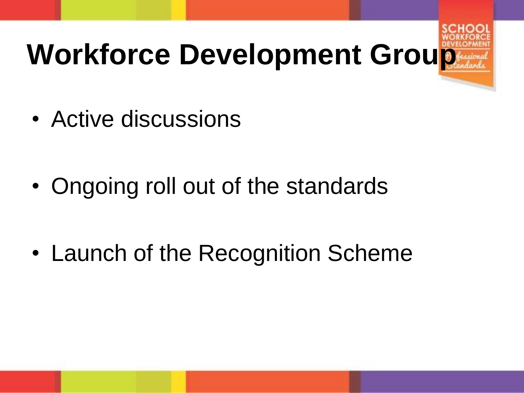# Workforce Development Group

• Active discussions

- Ongoing roll out of the standards
- Launch of the Recognition Scheme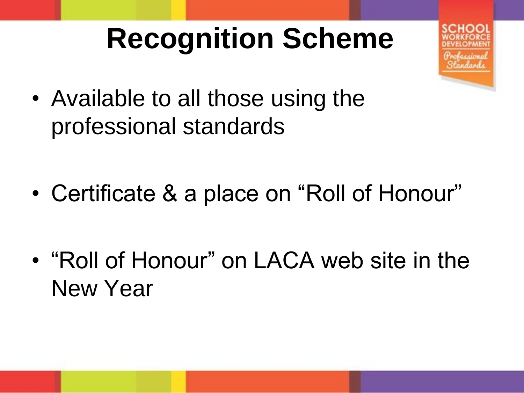### **Recognition Scheme**



• Available to all those using the professional standards

- Certificate & a place on "Roll of Honour"
- "Roll of Honour" on LACA web site in the New Year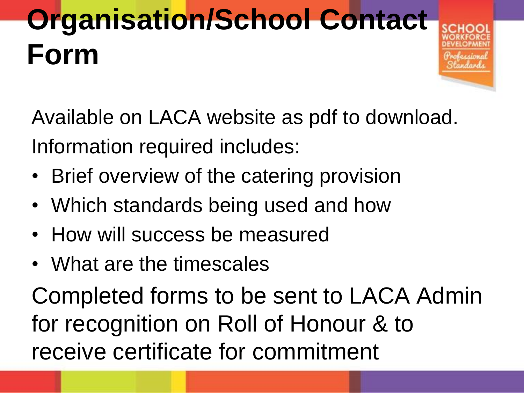# **Organisation/School Contact Form**

Available on LACA website as pdf to download. Information required includes:

- Brief overview of the catering provision
- Which standards being used and how
- How will success be measured
- What are the timescales

Completed forms to be sent to LACA Admin for recognition on Roll of Honour & to receive certificate for commitment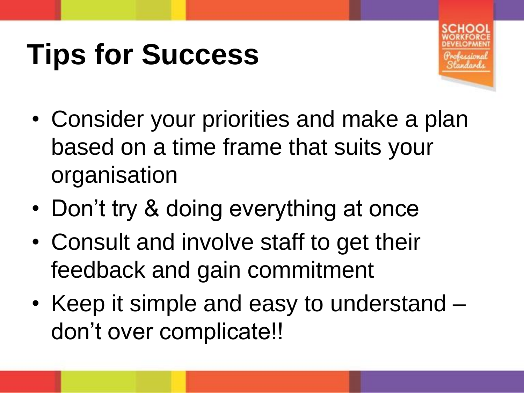### **Tips for Success**



- Consider your priorities and make a plan based on a time frame that suits your organisation
- Don't try & doing everything at once
- Consult and involve staff to get their feedback and gain commitment
- Keep it simple and easy to understand don't over complicate!!